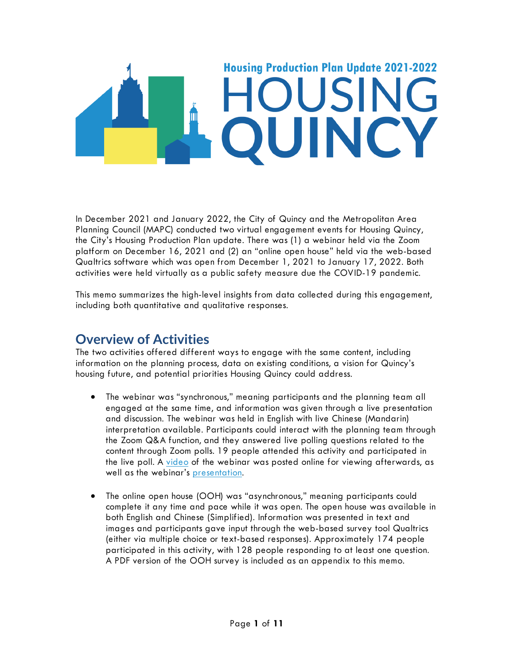

In December 2021 and January 2022, the City of Quincy and the Metropolitan Area Planning Council (MAPC) conducted two virtual engagement events for Housing Quincy, the City's Housing Production Plan update. There was (1) a webinar held via the Zoom platform on December 16, 2021 and (2) an "online open house" held via the web-based Qualtrics software which was open from December 1, 2021 to January 17, 2022. Both activities were held virtually as a public safety measure due the COVID-19 pandemic.

This memo summarizes the high-level insights from data collected during this engagement, including both quantitative and qualitative responses.

# **Overview of Activities**

The two activities offered different ways to engage with the same content, including information on the planning process, data on existing conditions, a vision for Quincy's housing future, and potential priorities Housing Quincy could address.

- The webinar was "synchronous," meaning participants and the planning team all engaged at the same time, and information was given through a live presentation and discussion. The webinar was held in English with live Chinese (Mandarin) interpretation available. Participants could interact with the planning team through the Zoom Q&A function, and they answered live polling questions related to the content through Zoom polls. 19 people attended this activity and participated in the live poll. A [video](https://youtu.be/PjvJs5UCP7U) of the webinar was posted online for viewing afterwards, as well as the webinar's [presentation.](https://www.mapc.org/wp-content/uploads/2021/12/Housing-Quincy-Webinar-1_Updated.pdf)
- The online open house (OOH) was "asynchronous," meaning participants could complete it any time and pace while it was open. The open house was available in both English and Chinese (Simplified). Information was presented in text and images and participants gave input through the web-based survey tool Qualtrics (either via multiple choice or text-based responses). Approximately 174 people participated in this activity, with 128 people responding to at least one question. A PDF version of the OOH survey is included as an appendix to this memo.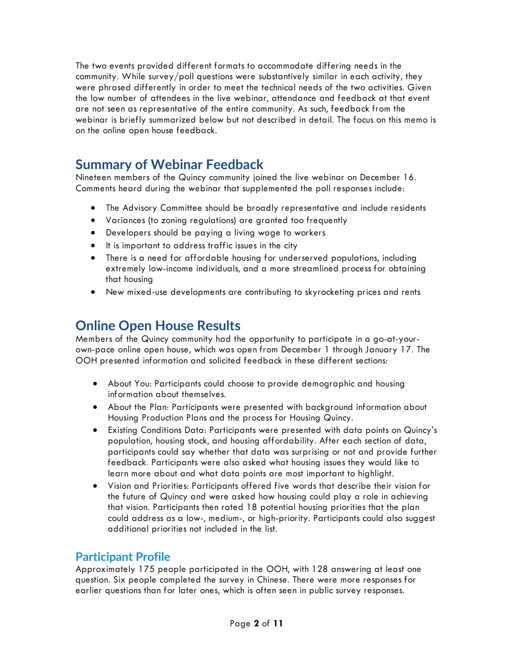The two events provided different formats to accommodate differing needs in the community. While survey/poll questions were substantively similar in each activity, they were phrased differently in order to meet the technical needs of the two activities. Given the low number of attendees in the live webinar, attendance and feedback at that event are not seen as representative of the entire community. As such, feedback from the webinar is briefly summarized below but not described in detail. The focus on this memo is on the online open house feedback.

# **Summary of Webinar Feedback**

Nineteen members of the Quincy community joined the live webinar on December 16. Comments heard during the webinar that supplemented the poll responses include:

- The Advisory Committee should be broadly representative and include residents
- Variances (to zoning regulations) are granted too frequently
- Developers should be paying a living wage to workers
- It is important to address traffic issues in the city
- There is a need for affordable housing for underserved populations, including extremely low-income individuals, and a more streamlined process for obtaining that housing
- New mixed-use developments are contributing to skyrocketing prices and rents

# **Online Open House Results**

Members of the Quincy community had the opportunity to participate in a go-at-yourown-pace online open house, which was open from December 1 through January 17. The OOH presented information and solicited feedback in these different sections:

- About You: Participants could choose to provide demographic and housing information about themselves.
- About the Plan: Participants were presented with background information about Housing Production Plans and the process for Housing Quincy.
- Existing Conditions Data: Participants were presented with data points on Quincy's population, housing stock, and housing affordability. After each section of data, participants could say whether that data was surprising or not and provide further feedback. Participants were also asked what housing issues they would like to learn more about and what data points are most important to highlight.
- Vision and Priorities: Participants offered five words that describe their vision for the future of Quincy and were asked how housing could play a role in achieving that vision. Participants then rated 18 potential housing priorities that the plan could address as a low-, medium-, or high-priority. Participants could also suggest additional priorities not included in the list.

# **Participant Profile**

Approximately 175 people participated in the OOH, with 128 answering at least one question. Six people completed the survey in Chinese. There were more responses for earlier questions than for later ones, which is often seen in public survey responses.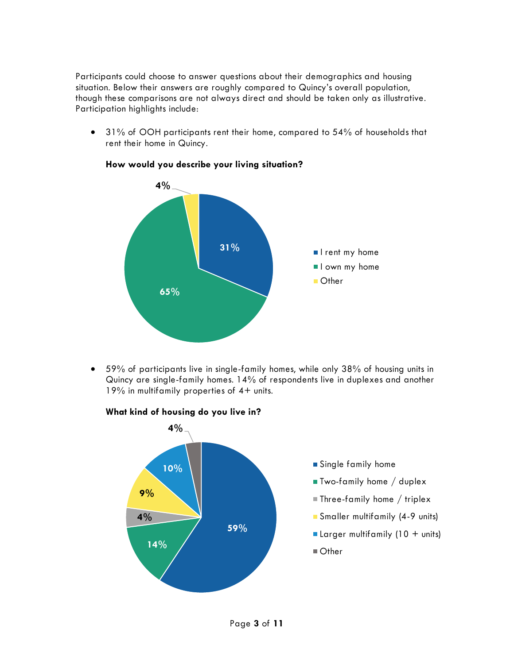Participants could choose to answer questions about their demographics and housing situation. Below their answers are roughly compared to Quincy's overall population, though these comparisons are not always direct and should be taken only as illustrative. Participation highlights include:

• 31% of OOH participants rent their home, compared to 54% of households that rent their home in Quincy.



#### **How would you describe your living situation?**

• 59% of participants live in single-family homes, while only 38% of housing units in Quincy are single-family homes. 14% of respondents live in duplexes and another 19% in multifamily properties of 4+ units.



#### **What kind of housing do you live in?**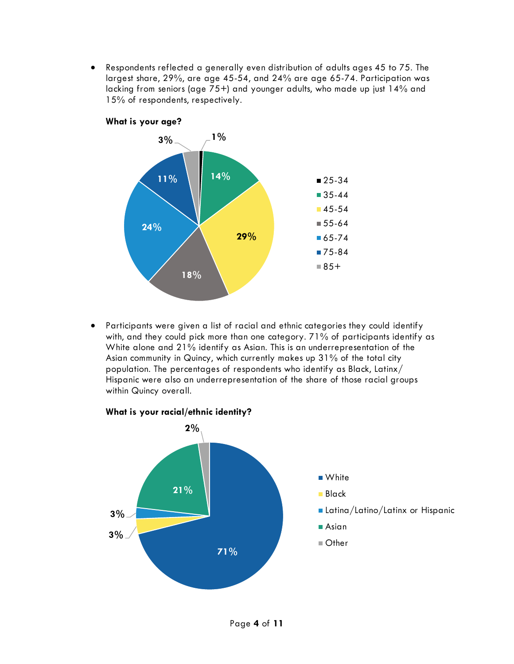• Respondents reflected a generally even distribution of adults ages 45 to 75. The largest share, 29%, are age 45-54, and 24% are age 65-74. Participation was lacking from seniors (age 75+) and younger adults, who made up just 14% and 15% of respondents, respectively.



• Participants were given a list of racial and ethnic categories they could identify with, and they could pick more than one category. 71% of participants identify as White alone and 21% identify as Asian. This is an underrepresentation of the Asian community in Quincy, which currently makes up 31% of the total city population. The percentages of respondents who identify as Black, Latinx/ Hispanic were also an underrepresentation of the share of those racial groups within Quincy overall.

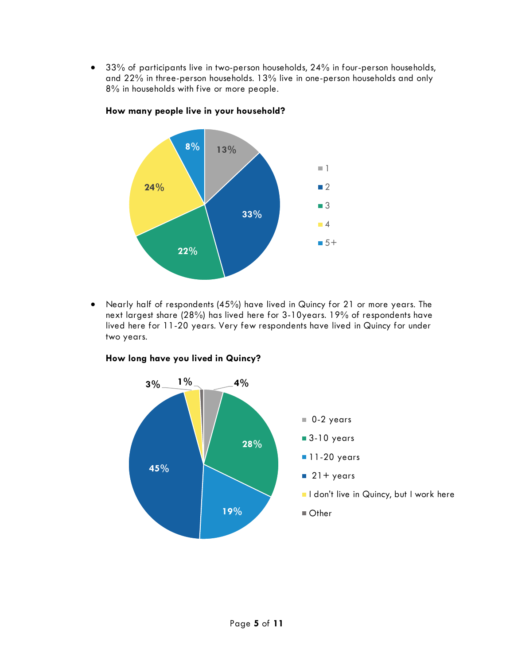• 33% of participants live in two-person households, 24% in four-person households, and 22% in three-person households. 13% live in one-person households and only 8% in households with five or more people.



#### **How many people live in your household?**

• Nearly half of respondents (45%) have lived in Quincy for 21 or more years. The next largest share (28%) has lived here for 3-10years. 19% of respondents have lived here for 11-20 years. Very few respondents have lived in Quincy for under two years.



#### **How long have you lived in Quincy?**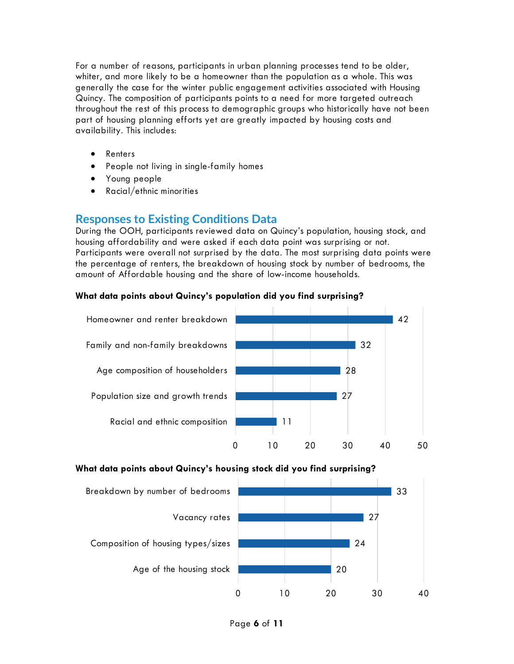For a number of reasons, participants in urban planning processes tend to be older, whiter, and more likely to be a homeowner than the population as a whole. This was generally the case for the winter public engagement activities associated with Housing Quincy. The composition of participants points to a need for more targeted outreach throughout the rest of this process to demographic groups who historically have not been part of housing planning efforts yet are greatly impacted by housing costs and availability. This includes:

- Renters
- People not living in single-family homes
- Young people
- Racial/ethnic minorities

### **Responses to Existing Conditions Data**

During the OOH, participants reviewed data on Quincy's population, housing stock, and housing affordability and were asked if each data point was surprising or not. Participants were overall not surprised by the data. The most surprising data points were the percentage of renters, the breakdown of housing stock by number of bedrooms, the amount of Affordable housing and the share of low-income households.

### **What data points about Quincy's population did you find surprising?**



### **What data points about Quincy's housing stock did you find surprising?**

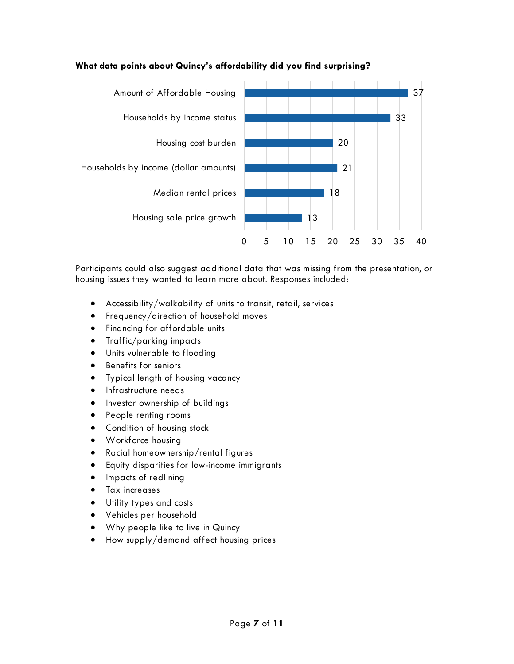

### **What data points about Quincy's affordability did you find surprising?**

Participants could also suggest additional data that was missing from the presentation, or housing issues they wanted to learn more about. Responses included:

- Accessibility/walkability of units to transit, retail, services
- Frequency/direction of household moves
- Financing for affordable units
- Traffic/parking impacts
- Units vulnerable to flooding
- Benefits for seniors
- Typical length of housing vacancy
- Infrastructure needs
- Investor ownership of buildings
- People renting rooms
- Condition of housing stock
- Workforce housing
- Racial homeownership/rental figures
- Equity disparities for low-income immigrants
- Impacts of redlining
- Tax increases
- Utility types and costs
- Vehicles per household
- Why people like to live in Quincy
- How supply/demand affect housing prices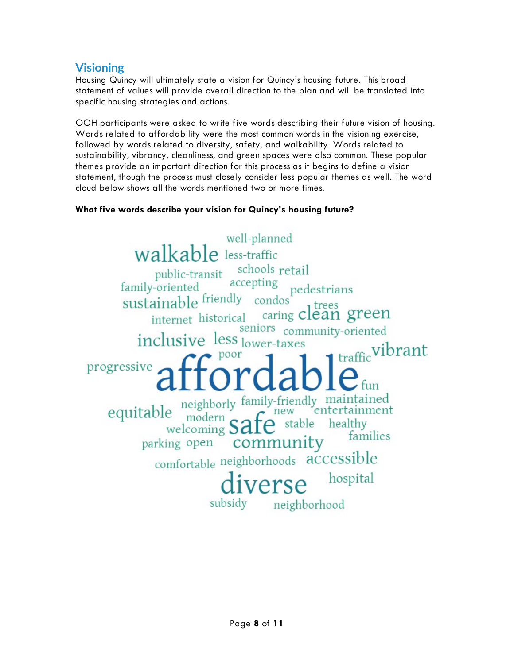# **Visioning**

Housing Quincy will ultimately state a vision for Quincy's housing future. This broad statement of values will provide overall direction to the plan and will be translated into specific housing strategies and actions.

OOH participants were asked to write five words describing their future vision of housing. Words related to affordability were the most common words in the visioning exercise, followed by words related to diversity, safety, and walkability. Words related to sustainability, vibrancy, cleanliness, and green spaces were also common. These popular themes provide an important direction for this process as it begins to define a vision statement, though the process must closely consider less popular themes as well. The word cloud below shows all the words mentioned two or more times.

### **What five words describe your vision for Quincy's housing future?**

well-planned **walkable** less-traffic walkable<br>public-transit schools retail<br>family-oriented accepting<br>pedd pedestrians sustainable friendly condos ainable friendly condos<sup>t</sup> trees<br>internet historical caring clean green seniors community-oriented inclusive less lower-taxes 1 traffic vibrant progressive equitable neighborly family-friendly maintained<br>welcoming  $\widehat{\text{safe}}$  stable healthy entertainment parking open community comfortable neighborhoods accessible hospital verse neighborhood subsidy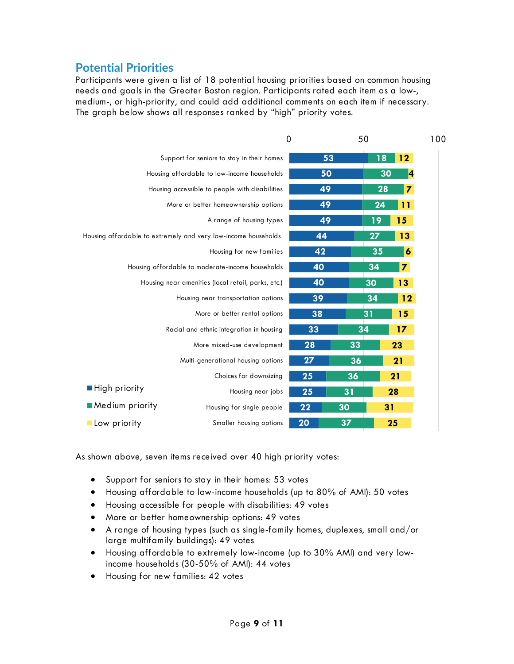## **Potential Priorities**

Participants were given a list of 18 potential housing priorities based on common housing needs and goals in the Greater Boston region. Participants rated each item as a low-, medium-, or high-priority, and could add additional comments on each item if necessary. The graph below shows all responses ranked by "high" priority votes.

|                 | 0                                                              |    | 50 |    |                         | 100 |
|-----------------|----------------------------------------------------------------|----|----|----|-------------------------|-----|
|                 | Support for seniors to stay in their homes                     | 53 |    | 18 | 12                      |     |
|                 | Housing affordable to low-income households                    | 50 |    | 30 | 4                       |     |
|                 | Housing accessible to people with disabilities                 | 49 |    | 28 | 7                       |     |
|                 | More or better homeownership options                           | 49 |    | 24 | 11                      |     |
|                 | A range of housing types                                       | 49 |    | 19 | 15                      |     |
|                 | Housing affordable to extremely and very low-income households | 44 |    | 27 | 13                      |     |
|                 | Housing for new families                                       | 42 |    | 35 | 6                       |     |
|                 | Housing affordable to moderate-income households               | 40 |    | 34 | $\overline{\mathbf{z}}$ |     |
|                 | Housing near amenities (local retail, parks, etc.)             | 40 |    | 30 | 13                      |     |
|                 | Housing near transportation options                            | 39 |    | 34 | 12                      |     |
|                 | More or better rental options                                  | 38 |    | 31 | 15                      |     |
|                 | Racial and ethnic integration in housing                       | 33 | 34 |    | 17                      |     |
|                 | More mixed-use development                                     | 28 | 33 |    | 23                      |     |
|                 | Multi-generational housing options                             | 27 | 36 |    | 21                      |     |
|                 | Choices for downsizing                                         | 25 | 36 |    | 21                      |     |
| ■ High priority | Housing near jobs                                              | 25 | 31 |    | 28                      |     |
| Medium priority | Housing for single people                                      | 22 | 30 | 31 |                         |     |
| Low priority    | Smaller housing options                                        | 20 | 37 |    | 25                      |     |

As shown above, seven items received over 40 high priority votes:

- Support for seniors to stay in their homes: 53 votes
- Housing affordable to low-income households (up to 80% of AMI): 50 votes
- Housing accessible for people with disabilities: 49 votes
- More or better homeownership options: 49 votes
- A range of housing types (such as single-family homes, duplexes, small and/or large multifamily buildings): 49 votes
- Housing affordable to extremely low-income (up to 30% AMI) and very lowincome households (30-50% of AMI): 44 votes
- Housing for new families: 42 votes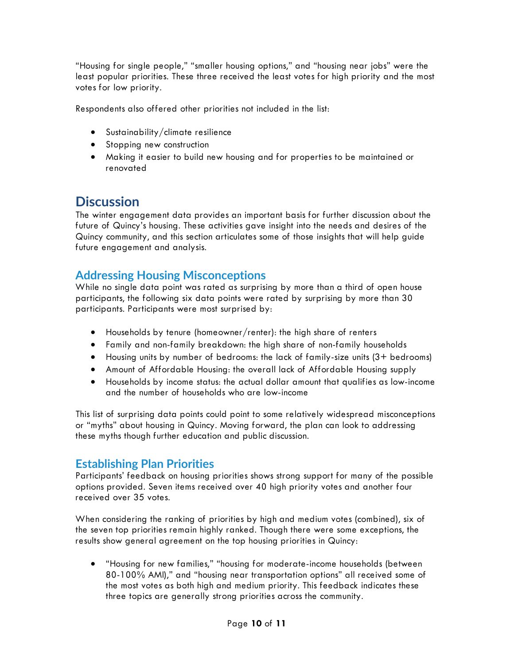"Housing for single people," "smaller housing options," and "housing near jobs" were the least popular priorities. These three received the least votes for high priority and the most votes for low priority.

Respondents also offered other priorities not included in the list:

- Sustainability/climate resilience
- Stopping new construction
- Making it easier to build new housing and for properties to be maintained or renovated

# **Discussion**

The winter engagement data provides an important basis for further discussion about the future of Quincy's housing. These activities gave insight into the needs and desires of the Quincy community, and this section articulates some of those insights that will help guide future engagement and analysis.

### **Addressing Housing Misconceptions**

While no single data point was rated as surprising by more than a third of open house participants, the following six data points were rated by surprising by more than 30 participants. Participants were most surprised by:

- Households by tenure (homeowner/renter): the high share of renters
- Family and non-family breakdown: the high share of non-family households
- Housing units by number of bedrooms: the lack of family-size units (3+ bedrooms)
- Amount of Affordable Housing: the overall lack of Affordable Housing supply
- Households by income status: the actual dollar amount that qualifies as low-income and the number of households who are low-income

This list of surprising data points could point to some relatively widespread misconceptions or "myths" about housing in Quincy. Moving forward, the plan can look to addressing these myths though further education and public discussion.

## **Establishing Plan Priorities**

Participants' feedback on housing priorities shows strong support for many of the possible options provided. Seven items received over 40 high priority votes and another four received over 35 votes.

When considering the ranking of priorities by high and medium votes (combined), six of the seven top priorities remain highly ranked. Though there were some exceptions, the results show general agreement on the top housing priorities in Quincy:

• "Housing for new families," "housing for moderate-income households (between 80-100% AMI)," and "housing near transportation options" all received some of the most votes as both high and medium priority. This feedback indicates these three topics are generally strong priorities across the community.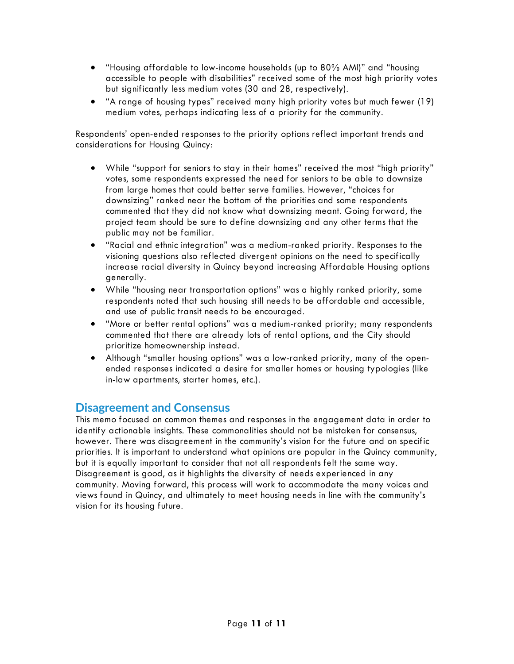- "Housing affordable to low-income households (up to 80% AMI)" and "housing accessible to people with disabilities" received some of the most high priority votes but significantly less medium votes (30 and 28, respectively).
- "A range of housing types" received many high priority votes but much fewer (19) medium votes, perhaps indicating less of a priority for the community.

Respondents' open-ended responses to the priority options reflect important trends and considerations for Housing Quincy:

- While "support for seniors to stay in their homes" received the most "high priority" votes, some respondents expressed the need for seniors to be able to downsize from large homes that could better serve families. However, "choices for downsizing" ranked near the bottom of the priorities and some respondents commented that they did not know what downsizing meant. Going forward, the project team should be sure to define downsizing and any other terms that the public may not be familiar.
- "Racial and ethnic integration" was a medium-ranked priority. Responses to the visioning questions also reflected divergent opinions on the need to specifically increase racial diversity in Quincy beyond increasing Affordable Housing options generally.
- While "housing near transportation options" was a highly ranked priority, some respondents noted that such housing still needs to be affordable and accessible, and use of public transit needs to be encouraged.
- "More or better rental options" was a medium-ranked priority; many respondents commented that there are already lots of rental options, and the City should prioritize homeownership instead.
- Although "smaller housing options" was a low-ranked priority, many of the openended responses indicated a desire for smaller homes or housing typologies (like in-law apartments, starter homes, etc.).

### **Disagreement and Consensus**

This memo focused on common themes and responses in the engagement data in order to identify actionable insights. These commonalities should not be mistaken for consensus, however. There was disagreement in the community's vision for the future and on specific priorities. It is important to understand what opinions are popular in the Quincy community, but it is equally important to consider that not all respondents felt the same way. Disagreement is good, as it highlights the diversity of needs experienced in any community. Moving forward, this process will work to accommodate the many voices and views found in Quincy, and ultimately to meet housing needs in line with the community's vision for its housing future.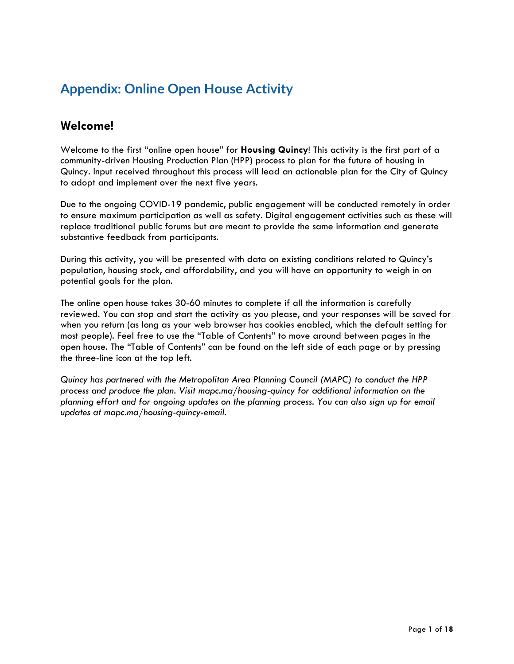# **Appendix: Online Open House Activity**

## **Welcome!**

Welcome to the first "online open house" for **Housing Quincy**! This activity is the first part of a community-driven Housing Production Plan (HPP) process to plan for the future of housing in Quincy. Input received throughout this process will lead an actionable plan for the City of Quincy to adopt and implement over the next five years.

Due to the ongoing COVID-19 pandemic, public engagement will be conducted remotely in order to ensure maximum participation as well as safety. Digital engagement activities such as these will replace traditional public forums but are meant to provide the same information and generate substantive feedback from participants.

During this activity, you will be presented with data on existing conditions related to Quincy's population, housing stock, and affordability, and you will have an opportunity to weigh in on potential goals for the plan.

The online open house takes 30-60 minutes to complete if all the information is carefully reviewed. You can stop and start the activity as you please, and your responses will be saved for when you return (as long as your web browser has cookies enabled, which the default setting for most people). Feel free to use the "Table of Contents" to move around between pages in the open house. The "Table of Contents" can be found on the left side of each page or by pressing the three-line icon at the top left.

*Quincy has partnered with the Metropolitan Area Planning Council (MAPC) to conduct the HPP process and produce the plan. Visit mapc.ma/housing-quincy for additional information on the planning effort and for ongoing updates on the planning process. You can also sign up for email updates at mapc.ma/housing-quincy-email.*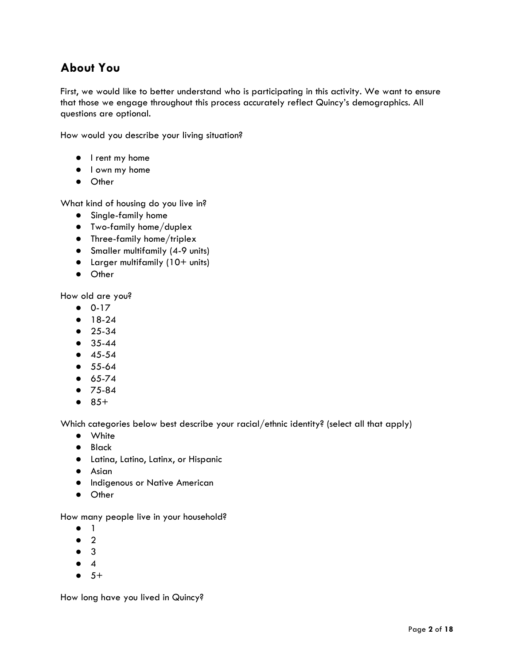# **About You**

First, we would like to better understand who is participating in this activity. We want to ensure that those we engage throughout this process accurately reflect Quincy's demographics. All questions are optional.

How would you describe your living situation?

- I rent my home
- I own my home
- Other

What kind of housing do you live in?

- Single-family home
- Two-family home/duplex
- Three-family home/triplex
- Smaller multifamily (4-9 units)
- Larger multifamily (10+ units)
- Other

How old are you?

- 0-17
- 18-24
- 25-34
- 35-44
- 45-54
- 55-64
- 65-74
- 75-84
- $85+$

Which categories below best describe your racial/ethnic identity? (select all that apply)

- White
- Black
- Latina, Latino, Latinx, or Hispanic
- Asian
- **•** Indigenous or Native American
- Other

How many people live in your household?

- 1
- $2$
- 3
- 4
- $-5+$

How long have you lived in Quincy?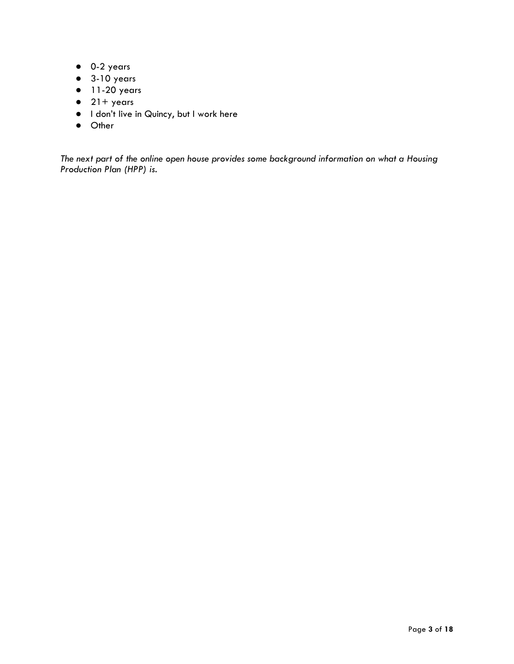- 0-2 years
- 3-10 years
- $\bullet$  11-20 years
- $\bullet$  21+ years
- I don't live in Quincy, but I work here
- Other

*The next part of the online open house provides some background information on what a Housing Production Plan (HPP) is.*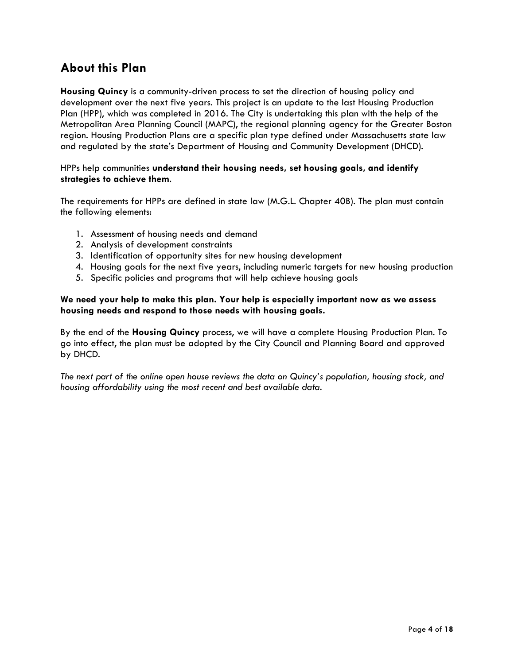# **About this Plan**

**Housing Quincy** is a community-driven process to set the direction of housing policy and development over the next five years. This project is an update to the last Housing Production Plan (HPP), which was completed in 2016. The City is undertaking this plan with the help of the Metropolitan Area Planning Council (MAPC), the regional planning agency for the Greater Boston region. Housing Production Plans are a specific plan type defined under Massachusetts state law and regulated by the state's Department of Housing and Community Development (DHCD).

#### HPPs help communities **understand their housing needs, set housing goals, and identify strategies to achieve them**.

The requirements for HPPs are defined in state law (M.G.L. Chapter 40B). The plan must contain the following elements:

- 1. Assessment of housing needs and demand
- 2. Analysis of development constraints
- 3. Identification of opportunity sites for new housing development
- 4. Housing goals for the next five years, including numeric targets for new housing production
- 5. Specific policies and programs that will help achieve housing goals

#### **We need your help to make this plan. Your help is especially important now as we assess housing needs and respond to those needs with housing goals.**

By the end of the **Housing Quincy** process, we will have a complete Housing Production Plan. To go into effect, the plan must be adopted by the City Council and Planning Board and approved by DHCD.

*The next part of the online open house reviews the data on Quincy's population, housing stock, and housing affordability using the most recent and best available data.*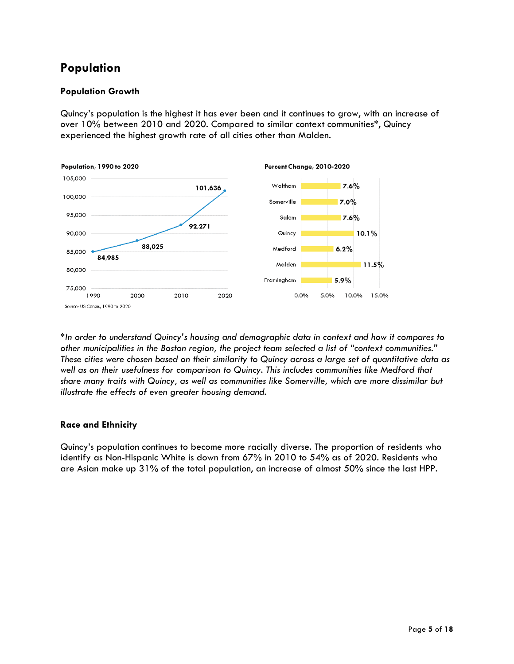# **Population**

### **Population Growth**

Quincy's population is the highest it has ever been and it continues to grow, with an increase of over 10% between 2010 and 2020. Compared to similar context communities\*, Quincy experienced the highest growth rate of all cities other than Malden.



\**In order to understand Quincy's housing and demographic data in context and how it compares to other municipalities in the Boston region, the project team selected a list of "context communities." These cities were chosen based on their similarity to Quincy across a large set of quantitative data as well as on their usefulness for comparison to Quincy. This includes communities like Medford that share many traits with Quincy, as well as communities like Somerville, which are more dissimilar but illustrate the effects of even greater housing demand.*

### **Race and Ethnicity**

Quincy's population continues to become more racially diverse. The proportion of residents who identify as Non-Hispanic White is down from 67% in 2010 to 54% as of 2020. Residents who are Asian make up 31% of the total population, an increase of almost 50% since the last HPP.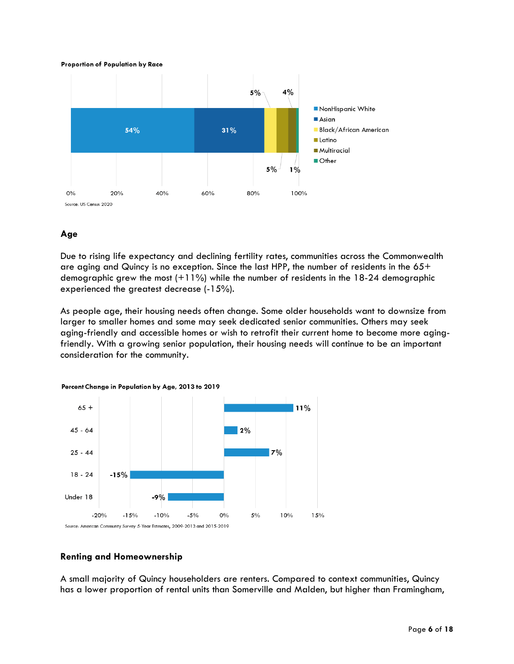#### **Proportion of Population by Race**



#### **Age**

Due to rising life expectancy and declining fertility rates, communities across the Commonwealth are aging and Quincy is no exception. Since the last HPP, the number of residents in the  $65+$ demographic grew the most  $(+11\%)$  while the number of residents in the 18-24 demographic experienced the greatest decrease (-15%).

As people age, their housing needs often change. Some older households want to downsize from larger to smaller homes and some may seek dedicated senior communities. Others may seek aging-friendly and accessible homes or wish to retrofit their current home to become more agingfriendly. With a growing senior population, their housing needs will continue to be an important consideration for the community.

Percent Change in Population by Age, 2013 to 2019



#### **Renting and Homeownership**

A small majority of Quincy householders are renters. Compared to context communities, Quincy has a lower proportion of rental units than Somerville and Malden, but higher than Framingham,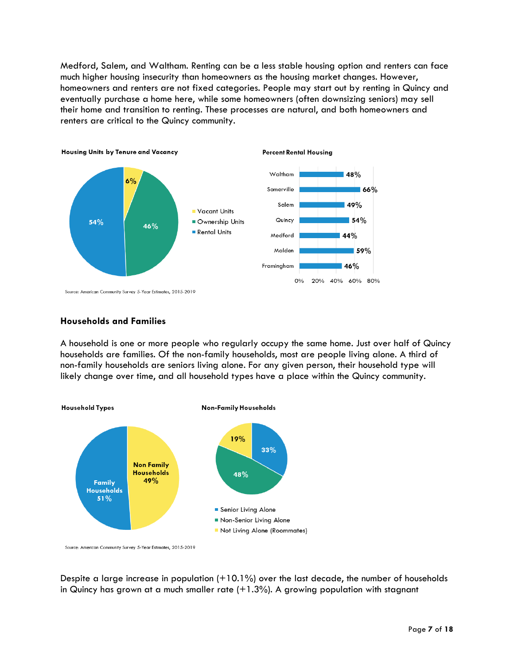Medford, Salem, and Waltham. Renting can be a less stable housing option and renters can face much higher housing insecurity than homeowners as the housing market changes. However, homeowners and renters are not fixed categories. People may start out by renting in Quincy and eventually purchase a home here, while some homeowners (often downsizing seniors) may sell their home and transition to renting. These processes are natural, and both homeowners and renters are critical to the Quincy community.



#### **Households and Families**

A household is one or more people who regularly occupy the same home. Just over half of Quincy households are families. Of the non-family households, most are people living alone. A third of non-family households are seniors living alone. For any given person, their household type will likely change over time, and all household types have a place within the Quincy community.



Source: American Community Survey 5-Year Estimates, 2015-2019

Despite a large increase in population (+10.1%) over the last decade, the number of households in Quincy has grown at a much smaller rate  $(+1.3%)$ . A growing population with stagnant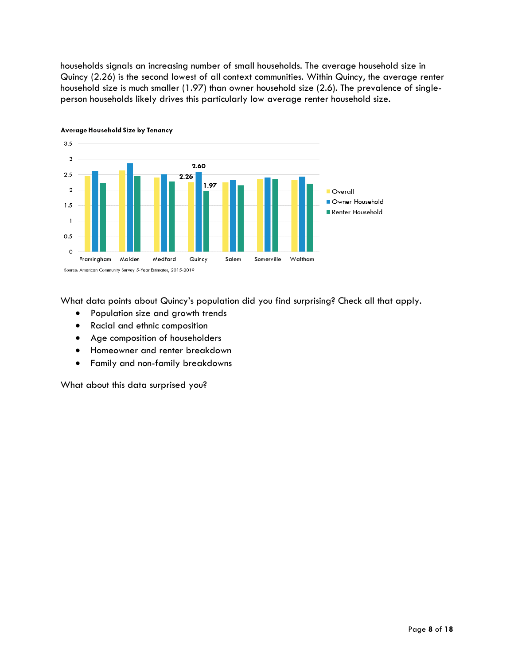households signals an increasing number of small households. The average household size in Quincy (2.26) is the second lowest of all context communities. Within Quincy, the average renter household size is much smaller (1.97) than owner household size (2.6). The prevalence of singleperson households likely drives this particularly low average renter household size.



Average Household Size by Tenancy

What data points about Quincy's population did you find surprising? Check all that apply.

- Population size and growth trends
- Racial and ethnic composition
- Age composition of householders
- Homeowner and renter breakdown
- Family and non-family breakdowns

What about this data surprised you?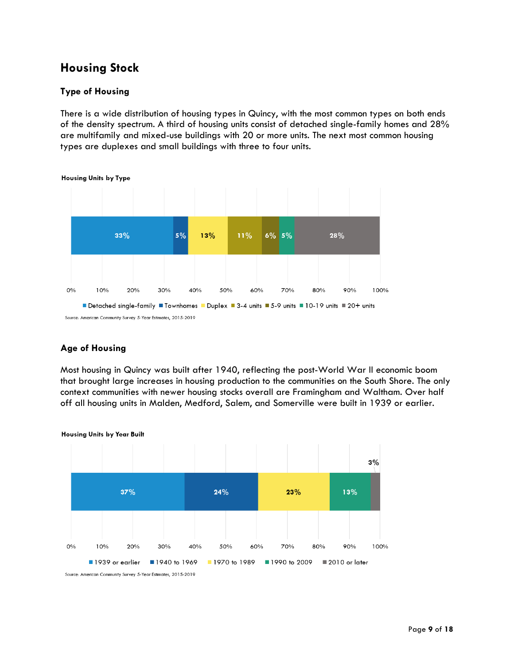## **Housing Stock**

### **Type of Housing**

There is a wide distribution of housing types in Quincy, with the most common types on both ends of the density spectrum. A third of housing units consist of detached single-family homes and 28% are multifamily and mixed-use buildings with 20 or more units. The next most common housing types are duplexes and small buildings with three to four units.



**Age of Housing**

Most housing in Quincy was built after 1940, reflecting the post-World War II economic boom that brought large increases in housing production to the communities on the South Shore. The only context communities with newer housing stocks overall are Framingham and Waltham. Over half off all housing units in Malden, Medford, Salem, and Somerville were built in 1939 or earlier.



**Housing Units by Year Built** 

Source: American Community Survey 5-Year Estimates, 2015-2019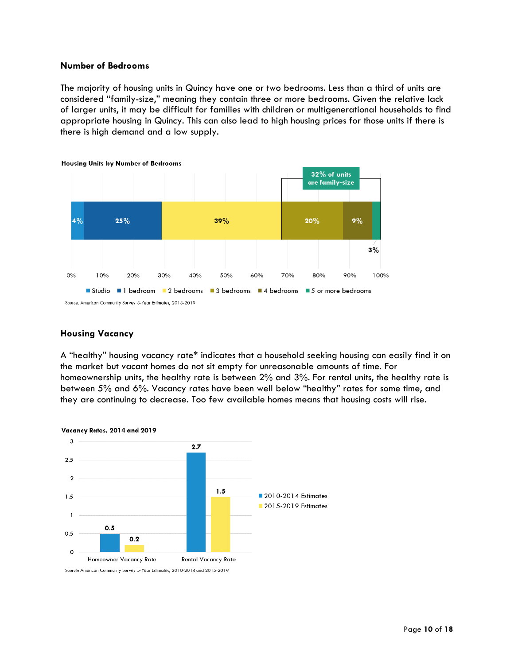#### **Number of Bedrooms**

The majority of housing units in Quincy have one or two bedrooms. Less than a third of units are considered "family-size," meaning they contain three or more bedrooms. Given the relative lack of larger units, it may be difficult for families with children or multigenerational households to find appropriate housing in Quincy. This can also lead to high housing prices for those units if there is there is high demand and a low supply.



#### **Housing Vacancy**

A "healthy" housing vacancy rate\* indicates that a household seeking housing can easily find it on the market but vacant homes do not sit empty for unreasonable amounts of time. For homeownership units, the healthy rate is between 2% and 3%. For rental units, the healthy rate is between 5% and 6%. Vacancy rates have been well below "healthy" rates for some time, and they are continuing to decrease. Too few available homes means that housing costs will rise.



#### Vacancy Rates, 2014 and 2019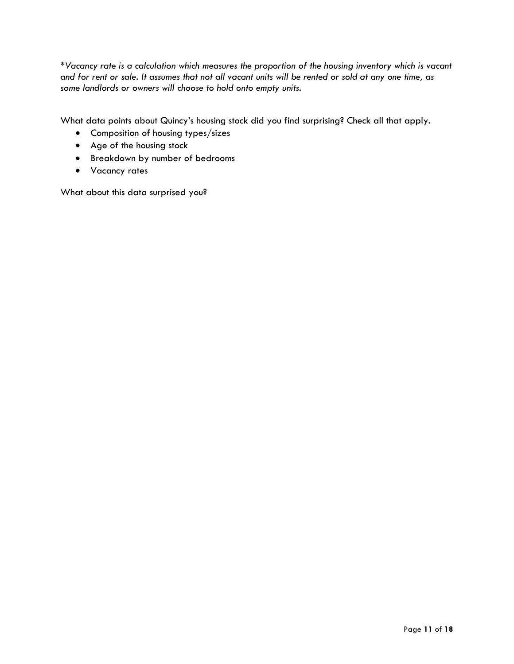\**Vacancy rate is a calculation which measures the proportion of the housing inventory which is vacant and for rent or sale. It assumes that not all vacant units will be rented or sold at any one time, as some landlords or owners will choose to hold onto empty units.*

What data points about Quincy's housing stock did you find surprising? Check all that apply.

- Composition of housing types/sizes
- Age of the housing stock
- Breakdown by number of bedrooms
- Vacancy rates

What about this data surprised you?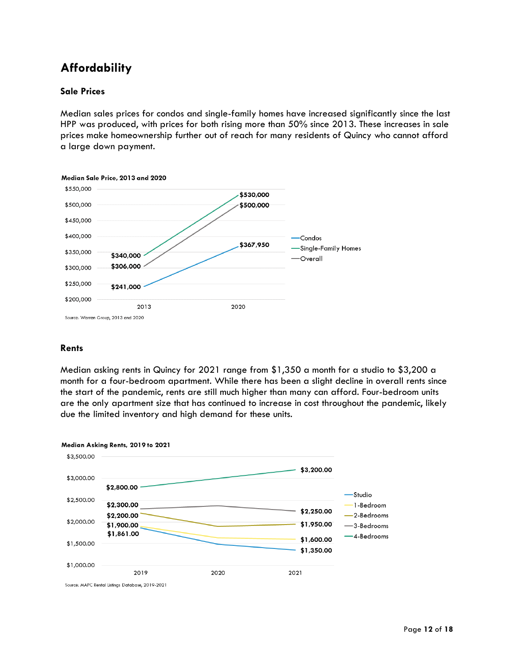# **Affordability**

#### **Sale Prices**

Median sales prices for condos and single-family homes have increased significantly since the last HPP was produced, with prices for both rising more than 50% since 2013. These increases in sale prices make homeownership further out of reach for many residents of Quincy who cannot afford a large down payment.



#### **Rents**

Median asking rents in Quincy for 2021 range from \$1,350 a month for a studio to \$3,200 a month for a four-bedroom apartment. While there has been a slight decline in overall rents since the start of the pandemic, rents are still much higher than many can afford. Four-bedroom units are the only apartment size that has continued to increase in cost throughout the pandemic, likely due the limited inventory and high demand for these units.



Source: MAPC Rental Listings Database, 2019-2021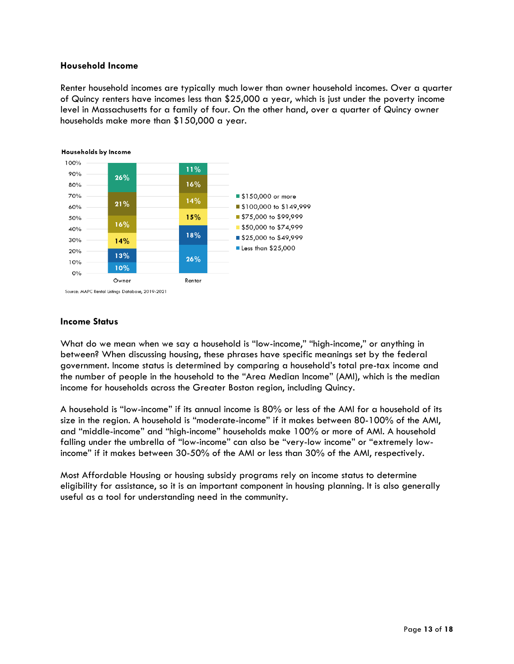#### **Household Income**

Renter household incomes are typically much lower than owner household incomes. Over a quarter of Quincy renters have incomes less than \$25,000 a year, which is just under the poverty income level in Massachusetts for a family of four. On the other hand, over a quarter of Quincy owner households make more than \$150,000 a year.



Households by Income

Source: MAPC Rental Listings Database, 2019-2021

#### **Income Status**

What do we mean when we say a household is "low-income," "high-income," or anything in between? When discussing housing, these phrases have specific meanings set by the federal government. Income status is determined by comparing a household's total pre-tax income and the number of people in the household to the "Area Median Income" (AMI), which is the median income for households across the Greater Boston region, including Quincy.

A household is "low-income" if its annual income is 80% or less of the AMI for a household of its size in the region. A household is "moderate-income" if it makes between 80-100% of the AMI, and "middle-income" and "high-income" households make 100% or more of AMI. A household falling under the umbrella of "low-income" can also be "very-low income" or "extremely lowincome" if it makes between 30-50% of the AMI or less than 30% of the AMI, respectively.

Most Affordable Housing or housing subsidy programs rely on income status to determine eligibility for assistance, so it is an important component in housing planning. It is also generally useful as a tool for understanding need in the community.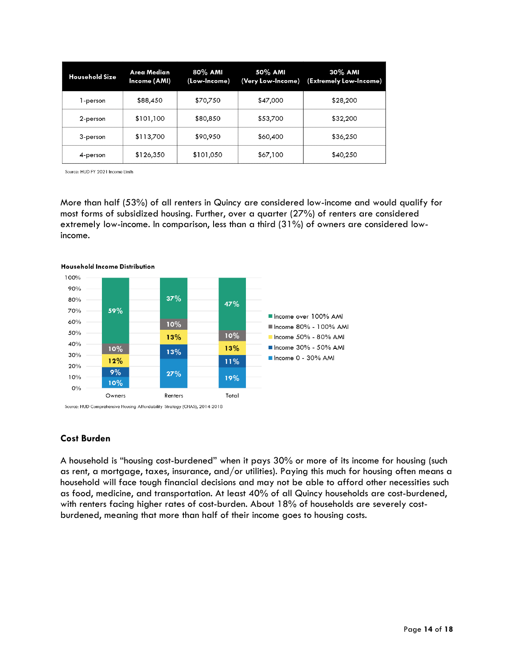| <b>Household Size</b> | Area Median<br>Income (AMI) | 80% AMI<br>(Low-Income) | 50% AMI<br>(Very Low-Income) | 30% AMI<br>(Extremely Low-Income) |
|-----------------------|-----------------------------|-------------------------|------------------------------|-----------------------------------|
| 1-person              | \$88,450                    | \$70,750                | \$47,000                     | \$28,200                          |
| 2-person              | \$101,100                   | \$80,850                | \$53,700                     | \$32,200                          |
| 3-person              | \$113,700                   | \$90,950                | \$60,400                     | \$36,250                          |
| 4-person              | \$126,350                   | \$101,050               | \$67,100                     | \$40,250                          |

Source: HUD FY 2021 Income Limits

More than half (53%) of all renters in Quincy are considered low-income and would qualify for most forms of subsidized housing. Further, over a quarter (27%) of renters are considered extremely low-income. In comparison, less than a third (31%) of owners are considered lowincome.



#### **Household Income Distribution**

#### **Cost Burden**

A household is "housing cost-burdened" when it pays 30% or more of its income for housing (such as rent, a mortgage, taxes, insurance, and/or utilities). Paying this much for housing often means a household will face tough financial decisions and may not be able to afford other necessities such as food, medicine, and transportation. At least 40% of all Quincy households are cost-burdened, with renters facing higher rates of cost-burden. About 18% of households are severely costburdened, meaning that more than half of their income goes to housing costs.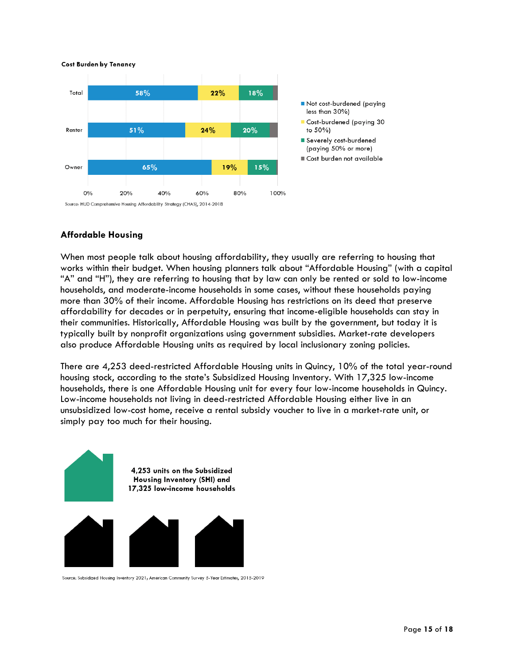

### **Affordable Housing**

When most people talk about housing affordability, they usually are referring to housing that works within their budget. When housing planners talk about "Affordable Housing" (with a capital "A" and "H"), they are referring to housing that by law can only be rented or sold to low-income households, and moderate-income households in some cases, without these households paying more than 30% of their income. Affordable Housing has restrictions on its deed that preserve affordability for decades or in perpetuity, ensuring that income-eligible households can stay in their communities. Historically, Affordable Housing was built by the government, but today it is typically built by nonprofit organizations using government subsidies. Market-rate developers also produce Affordable Housing units as required by local inclusionary zoning policies.

There are 4,253 deed-restricted Affordable Housing units in Quincy, 10% of the total year-round housing stock, according to the state's Subsidized Housing Inventory. With 17,325 low-income households, there is one Affordable Housing unit for every four low-income households in Quincy. Low-income households not living in deed-restricted Affordable Housing either live in an unsubsidized low-cost home, receive a rental subsidy voucher to live in a market-rate unit, or simply pay too much for their housing.



Source: Subsidized Housing Inventory 2021; American Community Survey 5-Year Estimates, 2015-2019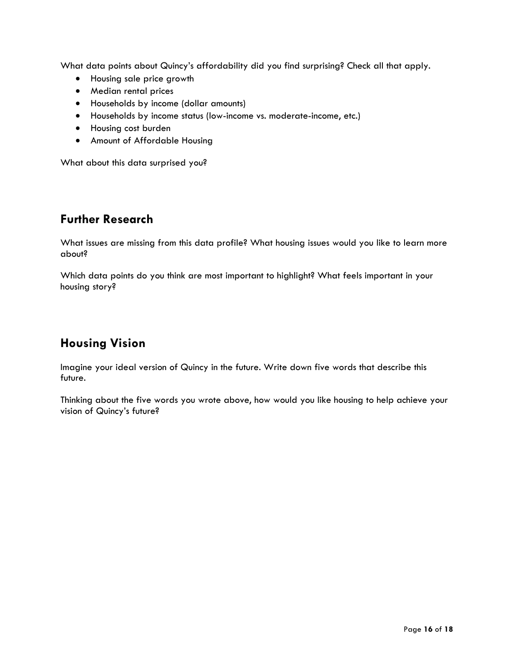What data points about Quincy's affordability did you find surprising? Check all that apply.

- Housing sale price growth
- Median rental prices
- Households by income (dollar amounts)
- Households by income status (low-income vs. moderate-income, etc.)
- Housing cost burden
- Amount of Affordable Housing

What about this data surprised you?

### **Further Research**

What issues are missing from this data profile? What housing issues would you like to learn more about?

Which data points do you think are most important to highlight? What feels important in your housing story?

# **Housing Vision**

Imagine your ideal version of Quincy in the future. Write down five words that describe this future.

Thinking about the five words you wrote above, how would you like housing to help achieve your vision of Quincy's future?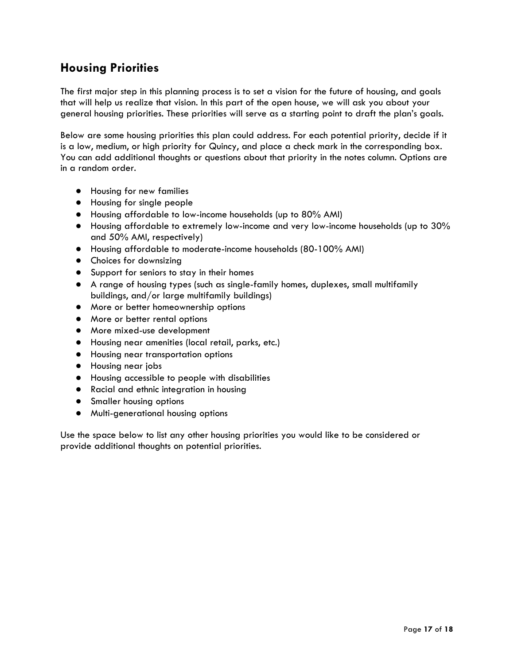## **Housing Priorities**

The first major step in this planning process is to set a vision for the future of housing, and goals that will help us realize that vision. In this part of the open house, we will ask you about your general housing priorities. These priorities will serve as a starting point to draft the plan's goals.

Below are some housing priorities this plan could address. For each potential priority, decide if it is a low, medium, or high priority for Quincy, and place a check mark in the corresponding box. You can add additional thoughts or questions about that priority in the notes column. Options are in a random order.

- Housing for new families
- Housing for single people
- Housing affordable to low-income households (up to 80% AMI)
- Housing affordable to extremely low-income and very low-income households (up to 30% and 50% AMI, respectively)
- Housing affordable to moderate-income households (80-100% AMI)
- Choices for downsizing
- Support for seniors to stay in their homes
- A range of housing types (such as single-family homes, duplexes, small multifamily buildings, and/or large multifamily buildings)
- More or better homeownership options
- More or better rental options
- More mixed-use development
- Housing near amenities (local retail, parks, etc.)
- Housing near transportation options
- Housing near jobs
- Housing accessible to people with disabilities
- Racial and ethnic integration in housing
- **•** Smaller housing options
- Multi-generational housing options

Use the space below to list any other housing priorities you would like to be considered or provide additional thoughts on potential priorities.